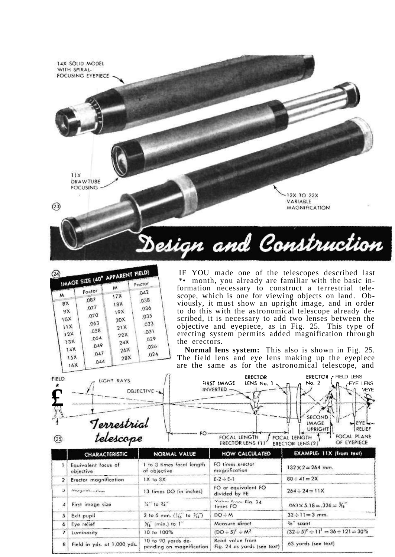

|     | IMAGE SIZE (40° APPARENT FIELD)<br>Factor | м               |      |
|-----|-------------------------------------------|-----------------|------|
| м   | ,087                                      | 17X             | .042 |
| 8X  | .077                                      | <b>18X</b>      | .038 |
| 9X  | 070                                       | 19X             | .036 |
| 10x | .063                                      | 20 <sub>X</sub> | 035  |
| 11X | .058                                      | 21X             | ,033 |
| 12X | 054                                       | 22X             | .031 |
| 13X | .049                                      | 24X             | 029  |
| 14X | ,047                                      | 26X             | 026  |
| 15X | 044                                       | 28X             | .024 |

I F YO U mad e on e o f th e telescope s describe d last \*\* month, you already are familiar with the basic information necessary to construct a terrestrial telescope, which is one for viewing objects on land. Obviously , i t mus t sho w a n uprigh t image , an d i n order to do this with the astronomical telescope already described, it is necessary to add two lenses between the objectiv e an d eyepiece , a s i n Fig . 25 . Thi s typ e of erecting system permits added magnification through th e erectors.

Normal lens system: This also is shown in Fig. 25. Th e fiel d len s an d ey e len s makin g u p th e eyepiece ar e th e sam e a s fo r th e astronomica l telescope , and

| <b>FIELD</b> | LIGHT RAYS    | ERECTOR<br>FIRST IMAGE<br>LENS No.               | <b>ERECTOR • FIELD LENS</b><br>No. 2<br><b>EYE LENS</b> |
|--------------|---------------|--------------------------------------------------|---------------------------------------------------------|
|              | $OBIECTIVE -$ | INVERTED -                                       | <b>VEYE</b>                                             |
| o.           |               |                                                  | SECOND                                                  |
|              | Terrestrial   |                                                  | <b>IMAGE</b><br>RELIEF<br>UPRIGHT                       |
| (25          | telescope     | FOCAL LENGTH<br>FOCAL LENGTH<br>ERECTOR LENS (1) | FOCAL PLANE<br>OF EYEPIECE<br>ERECTOR LENS (2)          |
|              |               |                                                  |                                                         |

|                | <b>CHARACTERISTIC</b>            | <b>NORMAL VALUE</b>                            | <b>HOW CALCULATED</b>                          | EXAMPLE: 11X (from text)                       |
|----------------|----------------------------------|------------------------------------------------|------------------------------------------------|------------------------------------------------|
|                | Equivalent facus of<br>objective | 1 to 3 times facal length<br>of objective      | FO times erector<br>magnification              | $132 \times 2 = 264$ mm.                       |
| 2 <sup>1</sup> | Erector magnification            | $1X$ to $3X$                                   | $E - 2 \div E - 1$                             | $80 \div 41 = 2X$                              |
| э              | mussulfinition                   | 13 times DO (in inches)                        | FO or equivalent FO<br>divided by FE           | $264 \div 24 = 11X$                            |
|                | First image size                 | $\frac{1}{4}$ to $\frac{3}{4}$                 | Value from Fig. 24<br>times FO                 | $0.63 \times 5.18 = .326 = X_6$                |
| 5 <sup>1</sup> | Exit pupil                       | 2 to 5 mm. $($ 314" to $-314$ ")               | $DO \div M$                                    | $32 \div 11 = 3$ mm.                           |
| 6              | Eye relief                       | $X_6$ (min.) to $1$ "                          | Measure direct                                 | <sup>5</sup> 8 scant                           |
| $\mathbf{z}$   | Luminosity                       | 10 to 100%                                     | $(DO \div 5)^2 \div M^2$                       | $(32 \div 5)^2 \div 11^2 = 36 \div 121 = 30\%$ |
| 8              | Field in yds. at 1,000 yds.      | 10 to 90 yards de-<br>pending on magnification | Read value from<br>Fig. 24 as yards (see text) | 63 yards (see text)                            |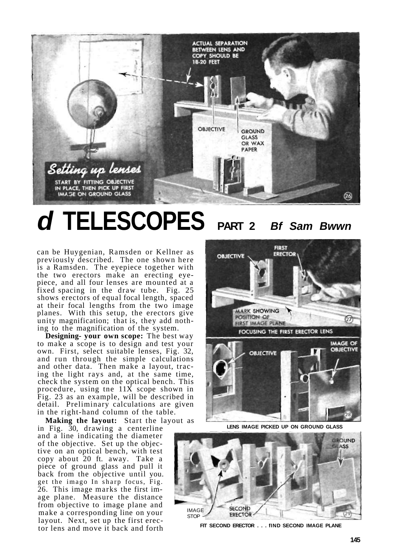

## **d TELESCOPES PART 2 Bf Sam Bwwn**

can be Huygenian, Ramsden or Kellner as previously described. The one shown here is a Ramsden. The eyepiece together with the two erectors make an erecting eyepiece, and all four lenses are mounted at a fixed spacing in the draw tube. Fig. 25 shows erectors of equal focal length, spaced at their focal lengths from the two image planes. With this setup, the erectors give unity magnification; that is, they add nothing to the magnification of the system.

**Designing- your own scope:** The best way to make a scope is to design and test your own. First, select suitable lenses, Fig. 32, and run through the simple calculations and other data. Then make a layout, tracing the light rays and, at the same time, check the system on the optical bench. This procedure, using tne 11X scope shown in Fig. 23 as an example, will be described in detail. Preliminary calculations are given in the right-hand column of the table.

**Making the layout:** Start the layout as

in Fig. 30, drawing a centerline and a line indicating the diameter of the objective. Set up the objective on an optical bench, with test copy about 20 ft. away. Take a piece of ground glass and pull it back from the objective until you. get the imago In sharp focus, Fig. 26. This image marks the first image plane. Measure the distance from objective to image plane and make a corresponding line on your layout. Next, set up the first erector lens and move it back and forth



**LENS IMAGE PICKED UP ON GROUND GLASS** 



**FIT SECOND ERECTOR . . . fIND SECOND IMAGE PLANE**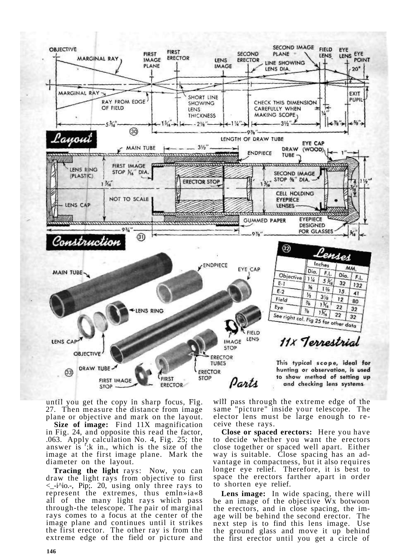

until you get the copy in sharp focus, Fig. 27. Then measure the distance from image plane or objective and mark on the layout.

**Size of image:** Find 11X magnification in Fig. 24, and opposite this read the factor, .063. Apply calculation No. 4, Fig. 25; the answer is  $f$ ;k in., which is the size of the image at the first image plane. Mark the diameter on the layout.

**Tracing the light** rays: Now, you can draw the light rays from objective to first <\_-i^io.-, Pip;. 20, using only three rays to represent the extremes, thus emln»ia«8 all of the many light rays which pass through-the telescope. The pair of marginal rays comes to a focus at the center of the image plane and continues until it strikes the first erector. The other ray is from the extreme edge of the field or picture and

will pass through the extreme edge of the same "picture" inside your telescope. The elector lens must be large enough to receive these rays.

**Close or spaced erectors:** Here you have to decide whether you want the erectors close together or spaced well apart. Either way is suitable. Close spacing has an advantage in compactness, but it also requires longer eye relief. Therefore, it is best to space the erectors farther apart in order to shorten eye relief.

**Lens image:** In wide spacing, there will be an image of the objective Wx botwoon the erectors, and in close spacing, the image will be behind the second erector. The next step is to find this lens image. Use the ground glass and move it up behind the first erector until you get a circle of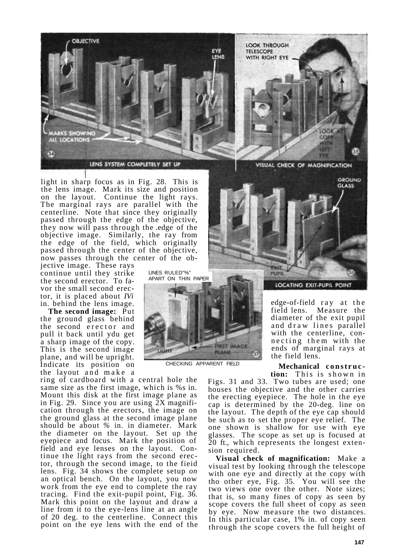

light in sharp focus as in Fig. 28. This is the lens image. Mark its size and position on the layout. Continue the light rays. The marginal rays are parallel with the centerline. Note that since they originally passed through the edge of the objective, they now will pass through the .edge of the objective image. Similarly, the ray from the edge of the field, which originally passed through the center of the objective, now passes through the center of the ob-

LINES RULED"%"

CHECKING APPARENT FIELD

**FIRST IMAGE** PLANE

jective image. These rays continue until they strike the second erector. To favor the small second erector, it is placed about *IVi*  in. behind the lens image.

**The second image:** Put the ground glass behind the second erector and pull it back until ydu get a sharp image of the copy. This is the second image plane, and will be upright. Indicate its position on the layout and make a

ring of cardboard with a central hole the same size as the first image, which is %s in. Mount this disk at the first image plane as in Fig. 29. Since you are using 2X magnification through the erectors, the image on the ground glass at the second image plane should be about *%* in. in diameter. Mark the diameter on the layout. Set up the eyepiece and focus. Mark the position of field and eye lenses on the layout. Continue the light rays from the second erector, through the second image, to the fieid lens. Fig. 34 shows the complete setup *on*  an optical bench. On the layout, you now work from the eye end to complete the ray tracing. Find the exit-pupil point, Fig. 36. Mark this point on the layout and draw a line from it to the eye-lens line at an angle of 20 deg. to the centerline. Connect this point on the eye lens with the end of the



VISUAL CHECK OF MAGNIFICATION





edge-of-field ray at the field lens. Measure the diameter of the exit pupil and draw lines parallel with the centerline, connecting them with the ends of marginal rays at the field lens.

**Mechanical construc tion:** This is shown in

Figs. 31 and 33. Two tubes are used; one houses the objective and the other carries the erecting eyepiece. The hole in the eye cap is determined by the 20-deg. line on the layout. The depth of the eye cap should be such as to set the proper eye relief. The one shown is shallow for use with eye glasses. The scope as set up is focused at 20 ft., which represents the longest extension required.

**Visual check of magnification:** Make a visual test by looking through the telescope with one eye and directly at the copy with tho other eye, Fig. 35. You will see the two views one over the other. Note sizes; that is, so many fines of copy as seen by scope covers the full sheet of copy as seen by eye. Now measure the two distances. In this particular case, 1% in. of copy seen through the scope covers the full height of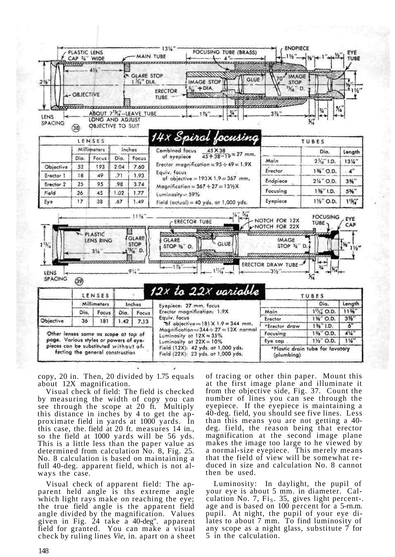

copy, 20 in. Then, 20 divided by 1.75 equals about 12X magnification.

Visual check of field: The field is checked by measuring the width of copy you can see through the scope at 20 ft. Multiply this distance in inches by 4 to get the approximate field in yards at 1000 yards. In this case, the. field at 20 ft. measures 14 in., so the field at 1000 yards will be 56 yds. This is a little less than the paper value as determined from calculation No. 8, Fig. 25. No. 8 calculation is based on maintaining a full 40-deg. apparent field, which is not always the case.

Visual check of apparent field: The apparent held angle is ths extreme angle which light rays make on reaching the eye; the true field angle is the apparent field angle divided by the magnification. Values given in Fig. 24 take a 40-deg". apparent field for granted. You can make a visual check by ruling lines *Vie,* in. apart on a sheet of tracing or other thin paper. Mount this at the first image plane and illuminate it from the objective side, Fig. 37. Count the number of lines you can see through the eyepiece. If the eyepiece is maintaining a 40-deg. field, you should see five lines. Less than this means you are not getting a 40 deg. field, the reason being that erector magnification at the second image plane makes the image too large to he viewed by a normal-size eyepiece. This merely means that the field of view will be somewhat reduced in size and calculation No. 8 cannot then be used.

Luminosity: In daylight, the pupil of your eye is about 5 mm. in diameter. Calculation No. 7,  $Fi<sub>s</sub>$ , 35, gives light percent-. age and is based on 100 percent for a 5-rn.m. pupil. At night, the pupil of your eye dilates to about 7 mm. To find luminosity of any scope as a night glass, substitute 7 for 5 in the calculation.